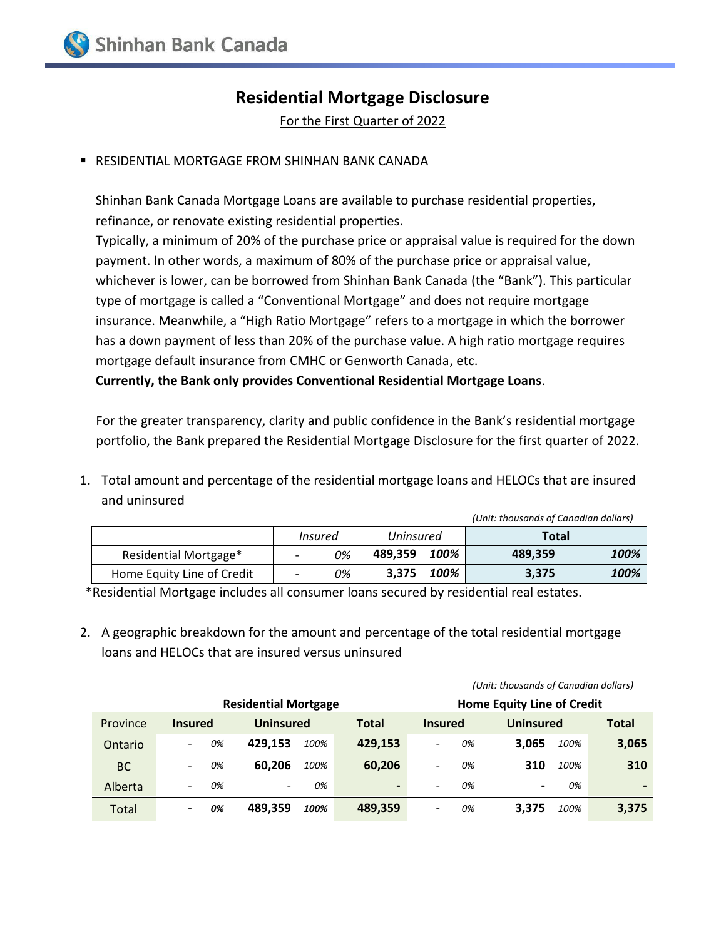## **Residential Mortgage Disclosure**

For the First Quarter of 2022

RESIDENTIAL MORTGAGE FROM SHINHAN BANK CANADA

Shinhan Bank Canada Mortgage Loans are available to purchase residential properties, refinance, or renovate existing residential properties.

Typically, a minimum of 20% of the purchase price or appraisal value is required for the down payment. In other words, a maximum of 80% of the purchase price or appraisal value, whichever is lower, can be borrowed from Shinhan Bank Canada (the "Bank"). This particular type of mortgage is called a "Conventional Mortgage" and does not require mortgage insurance. Meanwhile, a "High Ratio Mortgage" refers to a mortgage in which the borrower has a down payment of less than 20% of the purchase value. A high ratio mortgage requires mortgage default insurance from CMHC or Genworth Canada, etc.

**Currently, the Bank only provides Conventional Residential Mortgage Loans**.

For the greater transparency, clarity and public confidence in the Bank's residential mortgage portfolio, the Bank prepared the Residential Mortgage Disclosure for the first quarter of 2022.

1. Total amount and percentage of the residential mortgage loans and HELOCs that are insured and uninsured

|                            |                          |                |                  |      | (Unit: thousands of Canadian dollars) |      |
|----------------------------|--------------------------|----------------|------------------|------|---------------------------------------|------|
|                            |                          | <i>Insured</i> | <b>Uninsured</b> |      | <b>Total</b>                          |      |
| Residential Mortgage*      | $\overline{\phantom{0}}$ | 0%             | 489.359          | 100% | 489.359                               | 100% |
| Home Equity Line of Credit |                          | 0%             | 3.375            | 100% | 3,375                                 | 100% |

\*Residential Mortgage includes all consumer loans secured by residential real estates.

2. A geographic breakdown for the amount and percentage of the total residential mortgage loans and HELOCs that are insured versus uninsured

|                             |                          |    |                          |      |                |                |    | (Unit: thousands of Canadian dollars) |      |              |
|-----------------------------|--------------------------|----|--------------------------|------|----------------|----------------|----|---------------------------------------|------|--------------|
| <b>Residential Mortgage</b> |                          |    |                          |      |                |                |    | <b>Home Equity Line of Credit</b>     |      |              |
| Province                    | <b>Insured</b>           |    | Uninsured                |      | <b>Total</b>   | <b>Insured</b> |    | <b>Uninsured</b>                      |      | <b>Total</b> |
| Ontario                     |                          | 0% | 429.153                  | 100% | 429,153        |                | 0% | 3.065                                 | 100% | 3,065        |
| <b>BC</b>                   |                          | 0% | 60.206                   | 100% | 60,206         |                | 0% | 310                                   | 100% | 310          |
| Alberta                     | $\overline{\phantom{a}}$ | 0% | $\overline{\phantom{0}}$ | 0%   | $\blacksquare$ | -              | 0% | $\blacksquare$                        | 0%   |              |
| Total                       | $\overline{\phantom{0}}$ | 0% | 489.359                  | 100% | 489,359        | -              | 0% | 3.375                                 | 100% | 3,375        |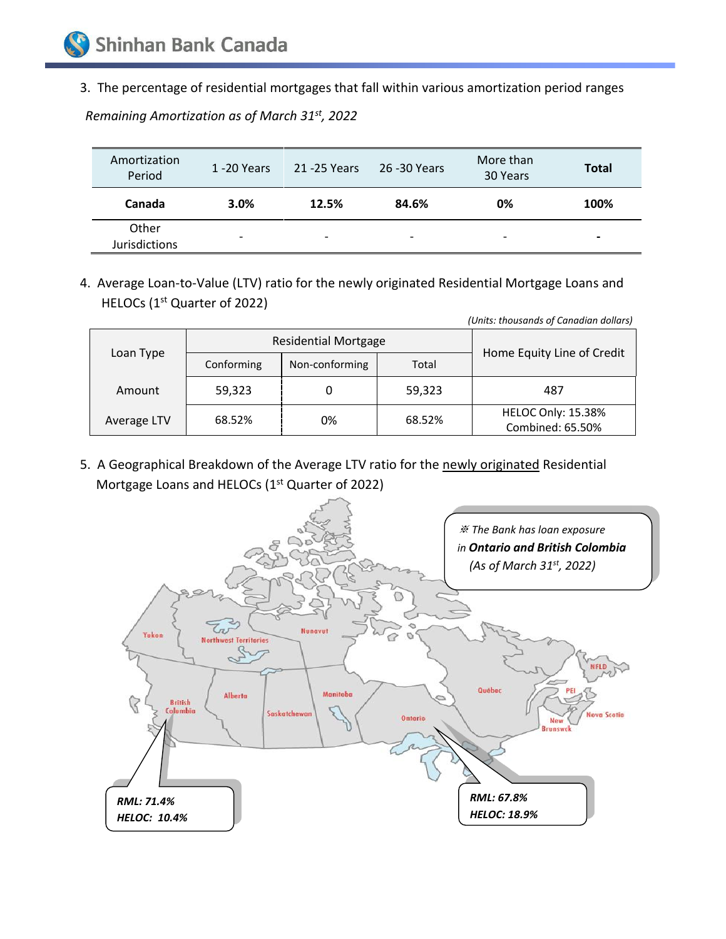3. The percentage of residential mortgages that fall within various amortization period ranges

*Remaining Amortization as of March 31st , 2022*

| Amortization<br>Period        | 1 -20 Years              | 21 -25 Years             | 26 -30 Years             | More than<br>30 Years    | <b>Total</b>             |
|-------------------------------|--------------------------|--------------------------|--------------------------|--------------------------|--------------------------|
| Canada                        | 3.0%                     | 12.5%                    | 84.6%                    | 0%                       | 100%                     |
| Other<br><b>Jurisdictions</b> | $\overline{\phantom{a}}$ | $\overline{\phantom{0}}$ | $\overline{\phantom{0}}$ | $\overline{\phantom{0}}$ | $\overline{\phantom{0}}$ |

4. Average Loan-to-Value (LTV) ratio for the newly originated Residential Mortgage Loans and HELOCs (1<sup>st</sup> Quarter of 2022)

|  | (Units: thousands of Canadian dollars) |            |                             |        |                                               |  |  |
|--|----------------------------------------|------------|-----------------------------|--------|-----------------------------------------------|--|--|
|  | Loan Type                              |            | <b>Residential Mortgage</b> |        |                                               |  |  |
|  |                                        | Conforming | Non-conforming              | Total  | Home Equity Line of Credit                    |  |  |
|  | Amount                                 | 59,323     |                             | 59,323 | 487                                           |  |  |
|  | Average LTV                            | 68.52%     | 0%                          | 68.52% | <b>HELOC Only: 15.38%</b><br>Combined: 65.50% |  |  |

5. A Geographical Breakdown of the Average LTV ratio for the newly originated Residential Mortgage Loans and HELOCs (1<sup>st</sup> Quarter of 2022)